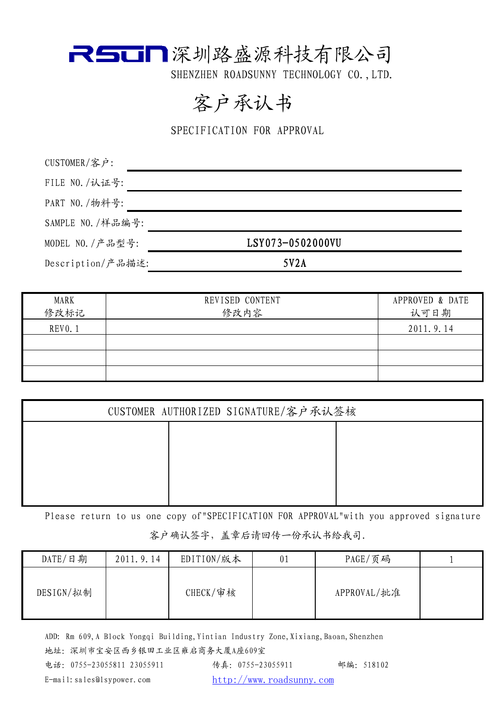

### 客户承认书

SPECIFICATION FOR APPROVAL

| CUSTOMER/客户:      |                  |  |
|-------------------|------------------|--|
| FILE NO. /认证号:    |                  |  |
| PART NO. /物料号:    |                  |  |
| SAMPLE NO. /样品编号: |                  |  |
| MODEL NO. / 产品型号: | LSY073-0502000VU |  |
| Description/产品描述: | 5V2A             |  |

| MARK<br>修改标记   | REVISED CONTENT<br>修改内容 | APPROVED & DATE<br>认可日期 |
|----------------|-------------------------|-------------------------|
| <b>REVO. 1</b> |                         | 2011.9.14               |
|                |                         |                         |
|                |                         |                         |
|                |                         |                         |

| CUSTOMER AUTHORIZED SIGNATURE/客户承认签核 |  |  |  |  |
|--------------------------------------|--|--|--|--|
|                                      |  |  |  |  |
|                                      |  |  |  |  |
|                                      |  |  |  |  |
|                                      |  |  |  |  |

Please return to us one copy of"SPECIFICATION FOR APPROVAL"with you approved signature 客户确认签字,盖章后请回传一份承认书给我司.

| DATE/日期   | 2011.9.14 | EDITION/版本  | 0 <sub>1</sub> | PAGE/页码     |  |
|-----------|-----------|-------------|----------------|-------------|--|
| DESIGN/拟制 |           | $CHECK/$ 审核 |                | APPROVAL/批准 |  |

ADD: Rm 609, A Block Yongqi Building, Yintian Industry Zone, Xixiang, Baoan, Shenzhen 地址:深圳市宝安区西乡银田工业区雍启商务大厦A座609室 电话:0755-23055811 23055911 传真:0755-23055911 邮编:518102 E-mail:sales@lsypower.com http://www.roadsunny.com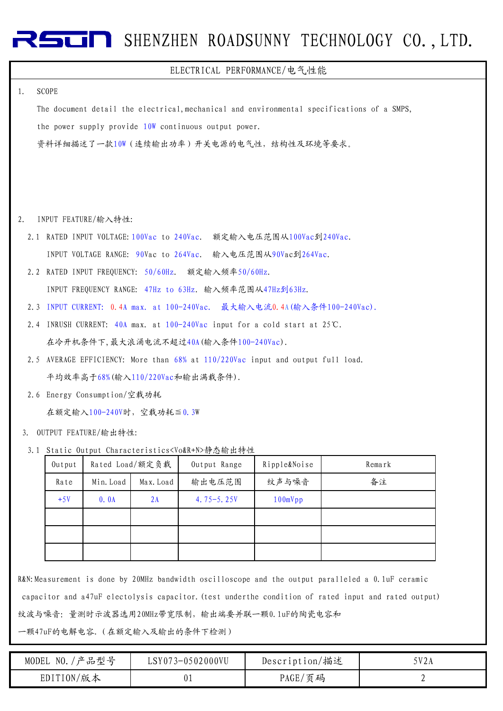#### ELECTRICAL PERFORMANCE/电气性能

#### 1. SCOPE

The document detail the electrical,mechanical and environmental specifications of a SMPS, the power supply provide 10W continuous output power. 资料详细描述了一款10W(连续输出功率)开关电源的电气性,结构性及环境等要求。

- 2. INPUT FEATURE/输入特性:
	- 2.1 RATED INPUT VOLTAGE:100Vac to 240Vac. 额定输入电压范围从100Vac到240Vac. INPUT VOLTAGE RANGE: 90Vac to 264Vac. 输入电压范围从90Vac到264Vac.
	- 2.2 RATED INPUT FREQUENCY: 50/60Hz. 额定输入频率50/60Hz.

INPUT FREQUENCY RANGE: 47Hz to 63Hz. 输入频率范围从47Hz到63Hz.

- 2.3 INPUT CURRENT: 0.4A max. at 100-240Vac. 最大输入电流0.4A(输入条件100-240Vac).
- 2.4 INRUSH CURRENT: 40A max. at 100-240Vac input for a cold start at 25℃. 在冷开机条件下,最大浪涌电流不超过40A(输入条件100-240Vac).
- 2.5 AVERAGE EFFICIENCY: More than 68% at 110/220Vac input and output full load. 平均效率高于68%(输入110/220Vac和输出满载条件).
- 2.6 Energy Consumption/空载功耗

在额定输入100-240V时,空载功耗≦0.3W

- OUTPUT FEATURE/输出特性: 3.
- 3.1 Static Output Characteristics<Vo&R+N>静态输出特性

| Output |           | Rated Load/额定负载 | Output Range  | Ripple&Noise | Remark |
|--------|-----------|-----------------|---------------|--------------|--------|
| Rate   | Min. Load | Max. Load       | 输出电压范围        | 纹声与噪音        | 备注     |
| $+5V$  | 0.0A      | 2A              | 4.75 $-5.25V$ | 100mVpp      |        |
|        |           |                 |               |              |        |
|        |           |                 |               |              |        |
|        |           |                 |               |              |        |

R&N:Measurement is done by 20MHz bandwidth oscilloscope and the output paralleled a 0.1uF ceramic capacitor and a47uF electolysis capacitor.(test underthe condition of rated input and rated output) 纹波与噪音: 量测时示波器选用20MHz带宽限制,输出端要并联一颗0.1uF的陶瓷电容和

一颗47uF的电解电容.(在额定输入及输出的条件下检测)

| NO. / 产品型号<br>MODEL | LSY073-0502000VU | Description/描述 | $\nabla$ 2A |
|---------------------|------------------|----------------|-------------|
| EDITION/版本          | 01               | '页码<br>PAGE/   | ∼           |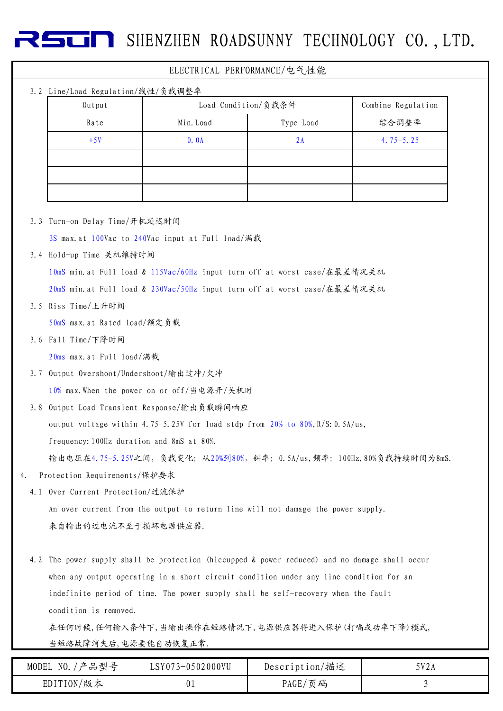## 3.2 Line/Load Regulation/线性/负载调整率 ELECTRICAL PERFORMANCE/电气性能 Output Load Condition/负载条件 Combine Regulation  $+5V$  0.0A 2A 4.75-5.25 Rate I Min.Load I Type Load Ship hate Ship Min.Load Type Load I 综合调整率

3.3 Turn-on Delay Time/开机延迟时间

3S max.at 100Vac to 240Vac input at Full load/满载

3.4 Hold-up Time 关机维持时间

10mS min.at Full load & 115Vac/60Hz input turn off at worst case/在最差情况关机

20mS min.at Full load & 230Vac/50Hz input turn off at worst case/在最差情况关机

3.5 Riss Time/上升时间

50mS max.at Rated load/额定负载

3.6 Fall Time/下降时间

20ms max.at Full load/满载

3.7 Output Overshoot/Undershoot/输出过冲/欠冲

10% max.When the power on or off/当电源开/关机时

3.8 Output Load Transient Response/输出负载瞬间响应

output voltage within 4.75-5.25V for load stdp from  $20\%$  to  $80\%, R/S$ : 0.5A/us,

frequency:100Hz duration and 8mS at 80%.

输出电压在4.75-5.25V之间,负载变化:从20%到80%,斜率:0.5A/us,频率:100Hz,80%负载持续时间为8mS.

4. Protection Requirenents/保护要求

4.1 Over Current Protection/过流保护 An over current from the output to return line will not damage the power supply. 来自输出的过电流不至于损坏电源供应器.

4.2 The power supply shall be protection (hiccupped & power reduced) and no damage shall occur when any output operating in a short circuit condition under any line condition for an indefinite period of time. The power supply shall be self-recovery when the fault condition is removed.

在任何时候,任何输入条件下,当输出操作在短路情况下,电源供应器将进入保护(打嗝或功率下降)模式, 当短路故障消失后,电源要能自动恢复正常.

| /产品型号<br>NO.<br>MODEL | LSY073-0502000VU | Description/描述 | 5V2A |
|-----------------------|------------------|----------------|------|
| EDITION/版本            | ັບ⊥              | PAGE/页码        |      |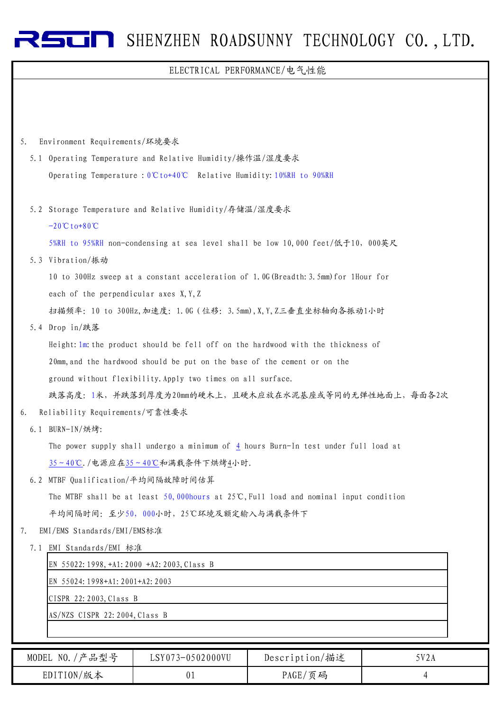### ELECTRICAL PERFORMANCE/电气性能

| 5. | Environment Requirements/环境要求                                                                    |
|----|--------------------------------------------------------------------------------------------------|
|    | 5.1 Operating Temperature and Relative Humidity/操作温/湿度要求                                         |
|    | Operating Temperature : $0^\circ \text{C}$ to+40°C Relative Humidity: 10%RH to 90%RH             |
|    |                                                                                                  |
|    | 5.2 Storage Temperature and Relative Humidity/存储温/湿度要求                                           |
|    | $-20^{\circ}C$ to +80 °C                                                                         |
|    | 5%RH to 95%RH non-condensing at sea level shall be low 10,000 feet/低于10, 000英尺                   |
|    | 5.3 Vibration/振动                                                                                 |
|    | 10 to 300Hz sweep at a constant acceleration of 1.0G (Breadth: 3.5mm) for 1Hour for              |
|    | each of the perpendicular axes X, Y, Z                                                           |
|    | 扫描频率: 10 to 300Hz, 加速度: 1.0G (位移: 3.5mm), X, Y, Z三垂直坐标轴向各振动1小时                                   |
|    | 5.4 Drop in/跌落                                                                                   |
|    | Height: 1m: the product should be fell off on the hardwood with the thickness of                 |
|    | 20mm, and the hardwood should be put on the base of the cement or on the                         |
|    | ground without flexibility. Apply two times on all surface.                                      |
|    | 跌落高度: 1米, 并跌落到厚度为20mm的硬木上, 且硬木应放在水泥基座或等同的无弹性地面上, 每面各2次                                           |
| 6. | Reliability Requirements/可靠性要求                                                                   |
|    | 6.1 BURN-IN/烘烤:                                                                                  |
|    | The power supply shall undergo a minimum of $\frac{4}{1}$ hours Burn-In test under full load at  |
|    | 35~40℃./电源应在35~40℃和满载条件下烘烤4小时.                                                                   |
|    | 6.2 MTBF Qualification/平均间隔故障时间估算                                                                |
|    | The MTBF shall be at least 50,000 hours at $25^{\circ}$ C, Full load and nominal input condition |
|    | 平均间隔时间: 至少50, 000小时, 25℃环境及额定输入与满载条件下                                                            |
| 7. | EMI/EMS Standards/EMI/EMS标准                                                                      |
|    | 7.1 EMI Standards/EMI 标准                                                                         |
|    | EN 55022:1998, +A1:2000 +A2:2003, Class B                                                        |
|    | EN 55024: 1998+A1: 2001+A2: 2003                                                                 |
|    | CISPR 22:2003, Class B                                                                           |
|    | AS/NZS CISPR 22:2004, Class B                                                                    |
|    |                                                                                                  |

| '产品型号<br>MODEL NO. | LSY073-0502000VU | Description/描述 | 5V2A |
|--------------------|------------------|----------------|------|
| EDITION/版本         | 01               | PAGE/页码        |      |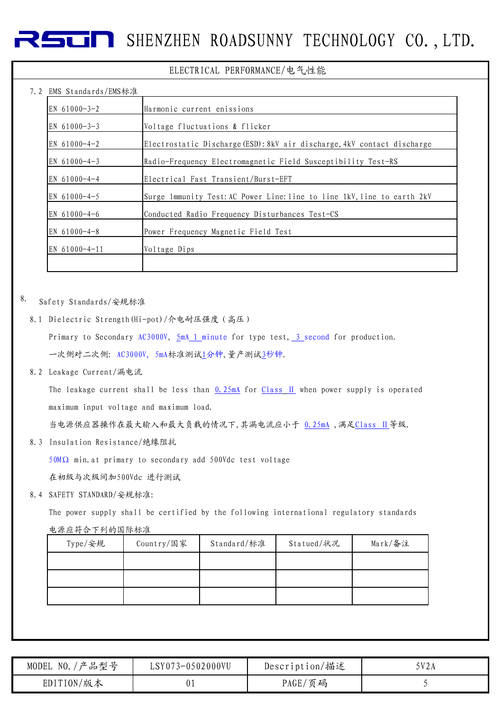#### ELECTRICAL PERFORMANCE/电气性能

### $7.2$  EMS Standards/EMS $\div$

| LMD DIANUAIUS/LMD小/E |                                                                         |
|----------------------|-------------------------------------------------------------------------|
| EN $61000 - 3 - 2$   | Harmonic current enissions                                              |
| EN $61000 - 3 - 3$   | Voltage fluctuations & flicker                                          |
| EN $61000 - 4 - 2$   | Electrostatic Discharge (ESD): 8kV air discharge, 4kV contact discharge |
| EN $61000 - 4 - 3$   | Radio-Frequency Electromagnetic Field Susceptibility Test-RS            |
| EN 61000-4-4         | Electrical Fast Transient/Burst-EFT                                     |
| EN $61000 - 4 - 5$   | Surge lmmunity Test: AC Power Line: line to line 1kV, line to earth 2kV |
| EN $61000 - 4 - 6$   | Conducted Radio Frequency Disturbances Test-CS                          |
| EN $61000 - 4 - 8$   | Power Frequency Magnetic Field Test                                     |
| EN 61000-4-11        | Voltage Dips                                                            |
|                      |                                                                         |

#### 8. Safety Standards/安规标准

8.1 Dielectric Strength(Hi-pot)/介电耐压强度(高压)

Primary to Secondary AC3000V, 5mA 1 minute for type test, 3 second for production. 一次侧对二次侧: AC3000V, 5mA标准测试1分钟,量产测试3秒钟.

8.2 Leakage Current/漏电流

The leakage current shall be less than  $0.25mA$  for Class II when power supply is operated maximum input voltage and maximum load.

当电源供应器操作在最大输入和最大负载的情况下,其漏电流应小于 0.25mA ,满足Class Ⅱ等级.

8.3 Insulation Resistance/绝缘阻抗

50MΩ min.at primary to secondary add 500Vdc test voltage

在初级与次级间加500Vdc 进行测试

8.4 SAFETY STANDARD/安规标准:

The power supply shall be certified by the following international regulatory standards

电源应符合下列的国际标准

| Type/安规 | Country/国家 | Standard/标准 | Statued/状况 | Mark/备注 |
|---------|------------|-------------|------------|---------|
|         |            |             |            |         |
|         |            |             |            |         |
|         |            |             |            |         |

| '产品型号<br>NO.<br>MODEL | LSY073-0502000VU | Description/描述 | 5V2A |
|-----------------------|------------------|----------------|------|
| EDITION/版本            | ∪⊥               | PAGE/页码        |      |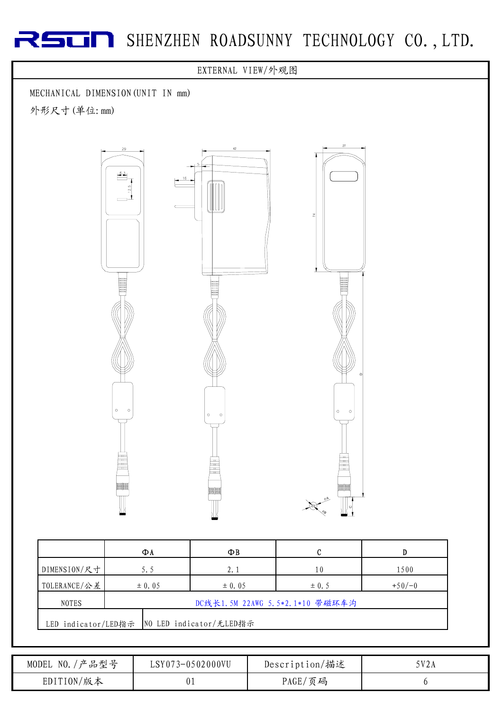

|                                              | ФΛ                              | ФB         |           |          |  |  |
|----------------------------------------------|---------------------------------|------------|-----------|----------|--|--|
| DIMENSION/尺寸                                 | 5.5                             | 2.1        | 10        | 1500     |  |  |
| TOLERANCE/公差                                 | $\pm 0.05$                      | $\pm 0.05$ | $\pm$ 0.5 | $+50/-0$ |  |  |
| <b>NOTES</b>                                 | DC线长1.5M 22AWG 5.5*2.1*10 带磁环车沟 |            |           |          |  |  |
| LED indicator/LED指示  NO LED indicator/无LED指示 |                                 |            |           |          |  |  |

| '产品型号<br>$\sim$ NO. $/$<br>MODEL | LSY073-0502000VU | Description/描述 | 5V2A |
|----------------------------------|------------------|----------------|------|
| EDITION/版本                       |                  | PAGE/页码        |      |